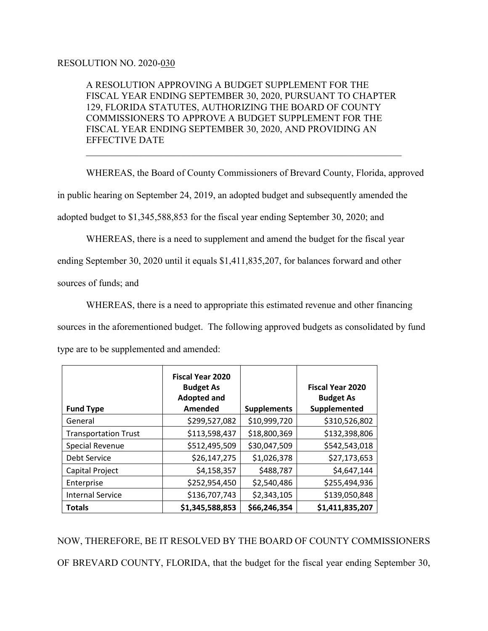## RESOLUTION NO. 2020-030

A RESOLUTION APPROVING A BUDGET SUPPLEMENT FOR THE FISCAL YEAR ENDING SEPTEMBER 30, 2020, PURSUANT TO CHAPTER 129, FLORIDA STATUTES, AUTHORIZING THE BOARD OF COUNTY COMMISSIONERS TO APPROVE A BUDGET SUPPLEMENT FOR THE FISCAL YEAR ENDING SEPTEMBER 30, 2020, AND PROVIDING AN EFFECTIVE DATE

 $\mathcal{L}_\text{G}$  , and the contribution of the contribution of the contribution of the contribution of the contribution of the contribution of the contribution of the contribution of the contribution of the contribution of t

 WHEREAS, the Board of County Commissioners of Brevard County, Florida, approved in public hearing on September 24, 2019, an adopted budget and subsequently amended the adopted budget to \$1,345,588,853 for the fiscal year ending September 30, 2020; and

 WHEREAS, there is a need to supplement and amend the budget for the fiscal year ending September 30, 2020 until it equals \$1,411,835,207, for balances forward and other sources of funds; and

 WHEREAS, there is a need to appropriate this estimated revenue and other financing sources in the aforementioned budget. The following approved budgets as consolidated by fund type are to be supplemented and amended:

|                             | <b>Fiscal Year 2020</b><br><b>Budget As</b><br><b>Adopted and</b> |                    | <b>Fiscal Year 2020</b><br><b>Budget As</b> |
|-----------------------------|-------------------------------------------------------------------|--------------------|---------------------------------------------|
| <b>Fund Type</b>            | Amended                                                           | <b>Supplements</b> | Supplemented                                |
| General                     | \$299,527,082                                                     | \$10,999,720       | \$310,526,802                               |
| <b>Transportation Trust</b> | \$113,598,437                                                     | \$18,800,369       | \$132,398,806                               |
| <b>Special Revenue</b>      | \$512,495,509                                                     | \$30,047,509       | \$542,543,018                               |
| Debt Service                | \$26,147,275                                                      | \$1,026,378        | \$27,173,653                                |
| Capital Project             | \$4,158,357                                                       | \$488,787          | \$4,647,144                                 |
| Enterprise                  | \$252,954,450                                                     | \$2,540,486        | \$255,494,936                               |
| <b>Internal Service</b>     | \$136,707,743                                                     | \$2,343,105        | \$139,050,848                               |
| <b>Totals</b>               | \$1,345,588,853                                                   | \$66,246,354       | \$1,411,835,207                             |

NOW, THEREFORE, BE IT RESOLVED BY THE BOARD OF COUNTY COMMISSIONERS OF BREVARD COUNTY, FLORIDA, that the budget for the fiscal year ending September 30,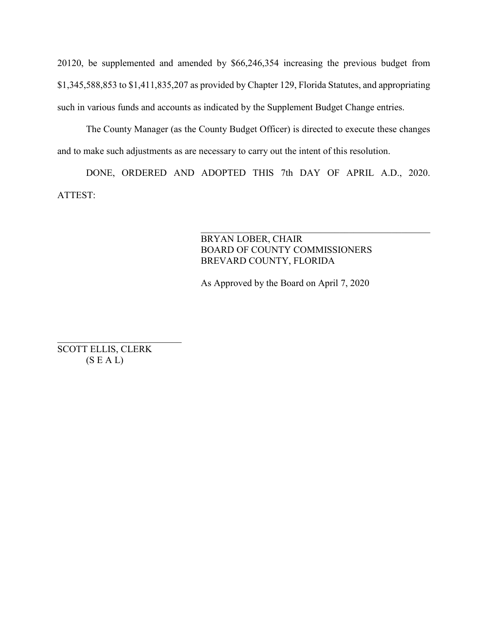20120, be supplemented and amended by \$66,246,354 increasing the previous budget from \$1,345,588,853 to \$1,411,835,207 as provided by Chapter 129, Florida Statutes, and appropriating such in various funds and accounts as indicated by the Supplement Budget Change entries.

The County Manager (as the County Budget Officer) is directed to execute these changes and to make such adjustments as are necessary to carry out the intent of this resolution.

DONE, ORDERED AND ADOPTED THIS 7th DAY OF APRIL A.D., 2020. ATTEST:

## BRYAN LOBER, CHAIR BOARD OF COUNTY COMMISSIONERS BREVARD COUNTY, FLORIDA

 $\mathcal{L}_\text{G}$ 

As Approved by the Board on April 7, 2020

SCOTT ELLIS, CLERK  $(S E A L)$ 

 $\overline{\phantom{a}}$  , which is a set of the set of the set of the set of the set of the set of the set of the set of the set of the set of the set of the set of the set of the set of the set of the set of the set of the set of th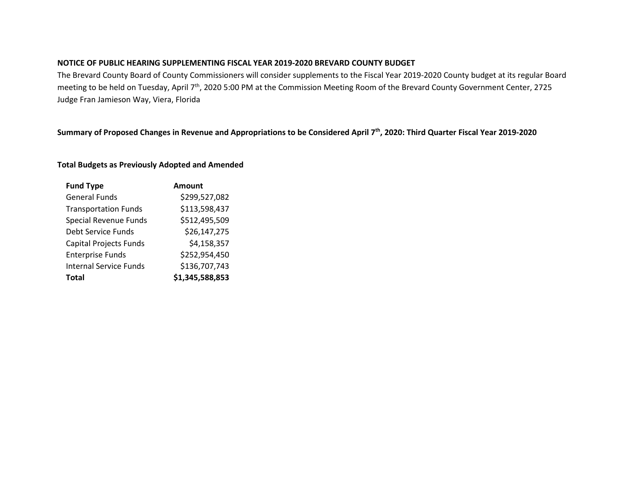#### **NOTICE OF PUBLIC HEARING SUPPLEMENTING FISCAL YEAR 2019-2020 BREVARD COUNTY BUDGET**

The Brevard County Board of County Commissioners will consider supplements to the Fiscal Year 2019-2020 County budget at its regular Board meeting to be held on Tuesday, April 7<sup>th</sup>, 2020 5:00 PM at the Commission Meeting Room of the Brevard County Government Center, 2725 Judge Fran Jamieson Way, Viera, Florida

### **Summary of Proposed Changes in Revenue and Appropriations to be Considered April 7th, 2020: Third Quarter Fiscal Year 2019-2020**

#### **Total Budgets as Previously Adopted and Amended**

| <b>Fund Type</b>              | Amount          |
|-------------------------------|-----------------|
| <b>General Funds</b>          | \$299,527,082   |
| <b>Transportation Funds</b>   | \$113,598,437   |
| <b>Special Revenue Funds</b>  | \$512,495,509   |
| Debt Service Funds            | \$26,147,275    |
| <b>Capital Projects Funds</b> | \$4,158,357     |
| <b>Enterprise Funds</b>       | \$252,954,450   |
| <b>Internal Service Funds</b> | \$136,707,743   |
| <b>Total</b>                  | \$1,345,588,853 |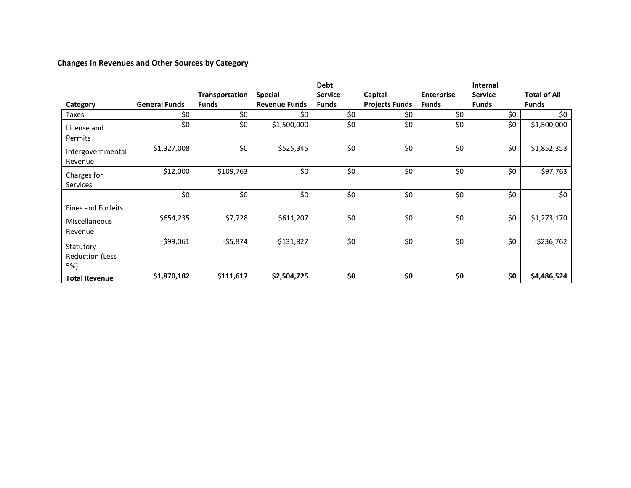# **Changes in Revenues and Other Sources by Category**

|                                            |                      |                |                      | <b>Debt</b>    |                       |                   | Internal       |                     |
|--------------------------------------------|----------------------|----------------|----------------------|----------------|-----------------------|-------------------|----------------|---------------------|
|                                            |                      | Transportation | <b>Special</b>       | <b>Service</b> | Capital               | <b>Enterprise</b> | <b>Service</b> | <b>Total of All</b> |
| Category                                   | <b>General Funds</b> | <b>Funds</b>   | <b>Revenue Funds</b> | <b>Funds</b>   | <b>Projects Funds</b> | <b>Funds</b>      | <b>Funds</b>   | <b>Funds</b>        |
| Taxes                                      | \$0                  | \$0            | \$0                  | \$0            | \$0                   | \$0               | \$0            | \$0                 |
| License and<br>Permits                     | \$0                  | \$0            | \$1,500,000          | \$0            | \$0                   | \$0               | \$0            | \$1,500,000         |
| Intergovernmental<br>Revenue               | \$1,327,008          | \$0            | \$525,345            | \$0            | \$0                   | \$0               | \$0            | \$1,852,353         |
| Charges for<br><b>Services</b>             | $-$12,000$           | \$109,763      | \$0                  | \$0            | \$0                   | \$0               | \$0            | \$97,763            |
| <b>Fines and Forfeits</b>                  | \$0                  | \$0            | \$0                  | \$0            | \$0                   | \$0               | \$0            | \$0                 |
| <b>Miscellaneous</b><br>Revenue            | \$654,235            | \$7,728        | \$611,207            | \$0            | \$0                   | \$0               | \$0            | \$1,273,170         |
| Statutory<br><b>Reduction (Less</b><br>5%) | $-599,061$           | $-55,874$      | $-$131,827$          | \$0            | \$0                   | \$0               | \$0            | $-$236,762$         |
| <b>Total Revenue</b>                       | \$1,870,182          | \$111,617      | \$2,504,725          | \$0            | \$0                   | \$0               | \$0            | \$4,486,524         |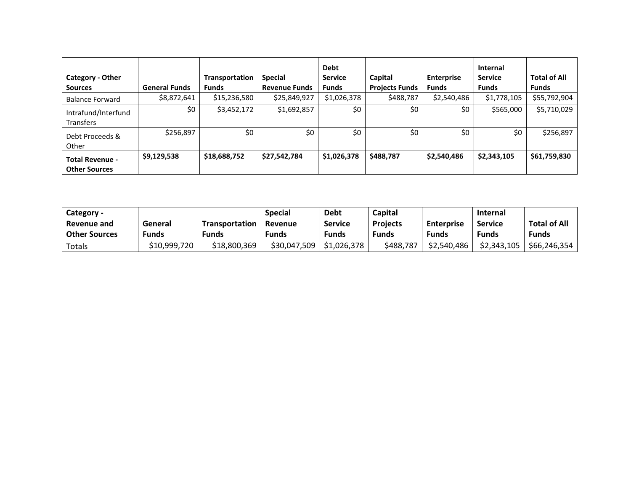| <b>Category - Other</b><br><b>Sources</b>      | <b>General Funds</b> | Transportation<br><b>Funds</b> | <b>Special</b><br><b>Revenue Funds</b> | <b>Debt</b><br><b>Service</b><br><b>Funds</b> | Capital<br><b>Projects Funds</b> | <b>Enterprise</b><br><b>Funds</b> | <b>Internal</b><br><b>Service</b><br><b>Funds</b> | <b>Total of All</b><br><b>Funds</b> |
|------------------------------------------------|----------------------|--------------------------------|----------------------------------------|-----------------------------------------------|----------------------------------|-----------------------------------|---------------------------------------------------|-------------------------------------|
| <b>Balance Forward</b>                         | \$8,872,641          | \$15,236,580                   | \$25,849,927                           | \$1,026,378                                   | \$488,787                        | \$2,540,486                       | \$1,778,105                                       | \$55,792,904                        |
| Intrafund/Interfund<br>Transfers               | \$0                  | \$3,452,172                    | \$1,692,857                            | \$0                                           | \$0                              | \$0                               | \$565,000                                         | \$5,710,029                         |
| Debt Proceeds &<br>Other                       | \$256,897            | \$0                            | \$0                                    | \$0                                           | \$0                              | \$0                               | \$0                                               | \$256,897                           |
| <b>Total Revenue -</b><br><b>Other Sources</b> | \$9,129,538          | \$18,688,752                   | \$27,542,784                           | \$1,026,378                                   | \$488,787                        | \$2,540,486                       | \$2,343,105                                       | \$61,759,830                        |

| Category -           |              |                       | <b>Special</b> | <b>Debt</b>    | Capital         |                   | <b>Internal</b> |                     |
|----------------------|--------------|-----------------------|----------------|----------------|-----------------|-------------------|-----------------|---------------------|
| Revenue and          | General      | <b>Transportation</b> | Revenue        | <b>Service</b> | <b>Projects</b> | <b>Enterprise</b> | <b>Service</b>  | <b>Total of All</b> |
| <b>Other Sources</b> | <b>Funds</b> | Funds                 | Funds          | Funds          | <b>Funds</b>    | Funds             | Funds           | Funds               |
| Totals               | \$10,999,720 | \$18,800,369          | \$30,047,509   | \$1,026,378    | \$488,787       | \$2,540,486       | \$2,343,105     | \$66,246,354        |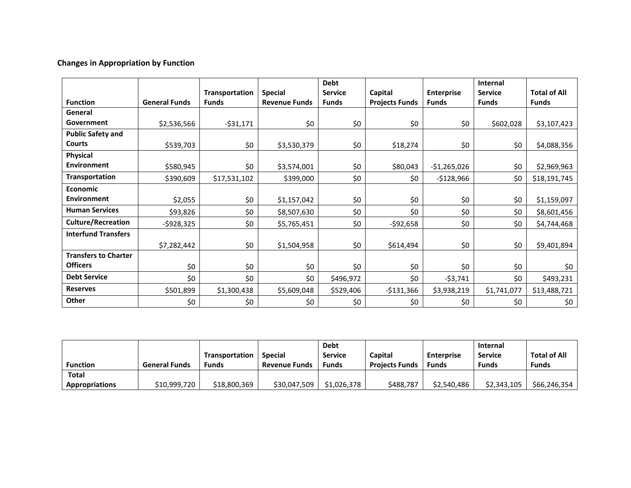# **Changes in Appropriation by Function**

|                             |                      |                |                      | <b>Debt</b>    |                       |                   | Internal       |                     |
|-----------------------------|----------------------|----------------|----------------------|----------------|-----------------------|-------------------|----------------|---------------------|
|                             |                      | Transportation | <b>Special</b>       | <b>Service</b> | Capital               | <b>Enterprise</b> | <b>Service</b> | <b>Total of All</b> |
| <b>Function</b>             | <b>General Funds</b> | <b>Funds</b>   | <b>Revenue Funds</b> | <b>Funds</b>   | <b>Projects Funds</b> | <b>Funds</b>      | <b>Funds</b>   | <b>Funds</b>        |
| General                     |                      |                |                      |                |                       |                   |                |                     |
| Government                  | \$2,536,566          | $-531,171$     | \$0                  | \$0            | \$0                   | \$0               | \$602,028      | \$3,107,423         |
| <b>Public Safety and</b>    |                      |                |                      |                |                       |                   |                |                     |
| <b>Courts</b>               | \$539,703            | \$0            | \$3,530,379          | \$0            | \$18,274              | \$0               | \$0            | \$4,088,356         |
| Physical                    |                      |                |                      |                |                       |                   |                |                     |
| <b>Environment</b>          | \$580,945            | \$0            | \$3,574,001          | \$0            | \$80,043              | $-$1,265,026$     | \$0            | \$2,969,963         |
| <b>Transportation</b>       | \$390,609            | \$17,531,102   | \$399,000            | \$0            | \$0                   | $-$128,966$       | \$0            | \$18,191,745        |
| <b>Economic</b>             |                      |                |                      |                |                       |                   |                |                     |
| <b>Environment</b>          | \$2,055              | \$0            | \$1,157,042          | \$0            | \$0                   | \$0               | \$0            | \$1,159,097         |
| <b>Human Services</b>       | \$93,826             | \$0            | \$8,507,630          | \$0            | \$0                   | \$0               | \$0            | \$8,601,456         |
| <b>Culture/Recreation</b>   | $-$ \$928,325        | \$0            | \$5,765,451          | \$0            | -\$92,658             | \$0               | \$0            | \$4,744,468         |
| <b>Interfund Transfers</b>  |                      |                |                      |                |                       |                   |                |                     |
|                             | \$7,282,442          | \$0            | \$1,504,958          | \$0            | \$614,494             | \$0               | \$0            | \$9,401,894         |
| <b>Transfers to Charter</b> |                      |                |                      |                |                       |                   |                |                     |
| <b>Officers</b>             | \$0                  | \$0            | \$0                  | \$0            | \$0                   | \$0               | \$0            | \$0                 |
| <b>Debt Service</b>         | \$0                  | \$0            | \$0                  | \$496,972      | \$0                   | $-53,741$         | \$0            | \$493,231           |
| <b>Reserves</b>             | \$501,899            | \$1,300,438    | \$5,609,048          | \$529,406      | $-$131,366$           | \$3,938,219       | \$1,741,077    | \$13,488,721        |
| Other                       | \$0                  | \$0            | \$0                  | \$0            | \$0                   | \$0               | \$0            | \$0                 |

|                 |                      |                       |                      | <b>Debt</b>    |                       |                   | <b>Internal</b> |              |
|-----------------|----------------------|-----------------------|----------------------|----------------|-----------------------|-------------------|-----------------|--------------|
|                 |                      | <b>Transportation</b> | <b>Special</b>       | <b>Service</b> | Capital               | <b>Enterprise</b> | <b>Service</b>  | Total of All |
| <b>Function</b> | <b>General Funds</b> | Funds                 | <b>Revenue Funds</b> | <b>Funds</b>   | <b>Projects Funds</b> | Funds             | <b>Funds</b>    | <b>Funds</b> |
| Total           |                      |                       |                      |                |                       |                   |                 |              |
| Appropriations  | \$10,999,720         | \$18,800,369          | \$30,047,509         | \$1,026,378    | \$488,787             | \$2,540,486       | \$2,343,105     | \$66,246,354 |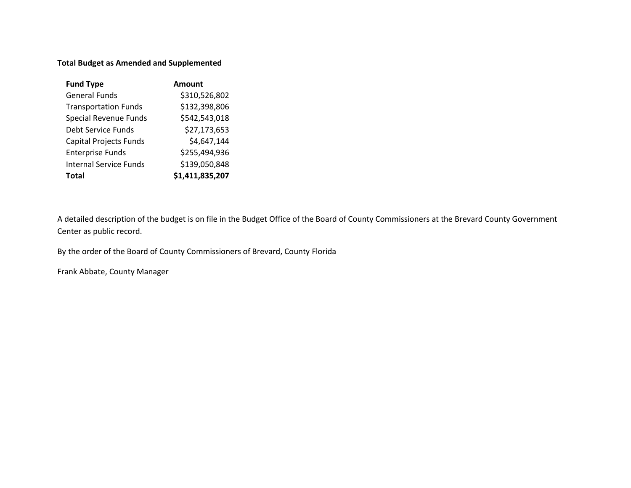### **Total Budget as Amended and Supplemented**

| <b>Fund Type</b>              | Amount          |
|-------------------------------|-----------------|
| <b>General Funds</b>          | \$310,526,802   |
| <b>Transportation Funds</b>   | \$132,398,806   |
| <b>Special Revenue Funds</b>  | \$542,543,018   |
| <b>Debt Service Funds</b>     | \$27,173,653    |
| <b>Capital Projects Funds</b> | \$4,647,144     |
| <b>Enterprise Funds</b>       | \$255,494,936   |
| <b>Internal Service Funds</b> | \$139,050,848   |
| Total                         | \$1,411,835,207 |

A detailed description of the budget is on file in the Budget Office of the Board of County Commissioners at the Brevard County Government Center as public record.

By the order of the Board of County Commissioners of Brevard, County Florida

Frank Abbate, County Manager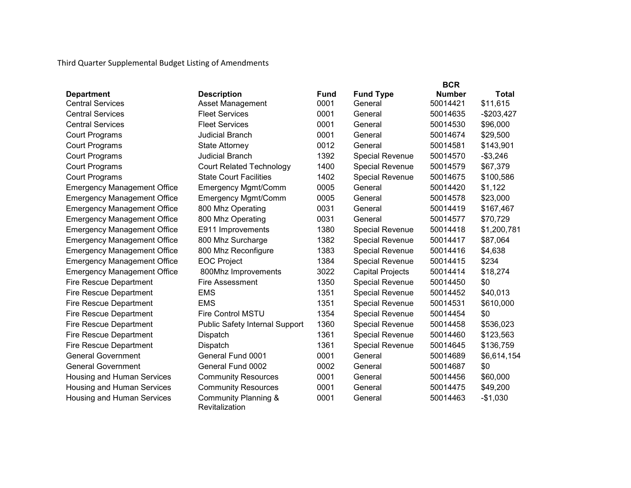Third Quarter Supplemental Budget Listing of Amendments

|                                    |                                        |             |                         | <b>BCR</b>    |              |
|------------------------------------|----------------------------------------|-------------|-------------------------|---------------|--------------|
| <b>Department</b>                  | <b>Description</b>                     | <b>Fund</b> | <b>Fund Type</b>        | <b>Number</b> | <b>Total</b> |
| <b>Central Services</b>            | <b>Asset Management</b>                | 0001        | General                 | 50014421      | \$11,615     |
| <b>Central Services</b>            | <b>Fleet Services</b>                  | 0001        | General                 | 50014635      | $-$203,427$  |
| <b>Central Services</b>            | <b>Fleet Services</b>                  | 0001        | General                 | 50014530      | \$96,000     |
| <b>Court Programs</b>              | <b>Judicial Branch</b>                 | 0001        | General                 | 50014674      | \$29,500     |
| <b>Court Programs</b>              | <b>State Attorney</b>                  | 0012        | General                 | 50014581      | \$143,901    |
| <b>Court Programs</b>              | <b>Judicial Branch</b>                 | 1392        | <b>Special Revenue</b>  | 50014570      | $-$3,246$    |
| <b>Court Programs</b>              | <b>Court Related Technology</b>        | 1400        | Special Revenue         | 50014579      | \$67,379     |
| <b>Court Programs</b>              | <b>State Court Facilities</b>          | 1402        | Special Revenue         | 50014675      | \$100,586    |
| <b>Emergency Management Office</b> | <b>Emergency Mgmt/Comm</b>             | 0005        | General                 | 50014420      | \$1,122      |
| <b>Emergency Management Office</b> | <b>Emergency Mgmt/Comm</b>             | 0005        | General                 | 50014578      | \$23,000     |
| <b>Emergency Management Office</b> | 800 Mhz Operating                      | 0031        | General                 | 50014419      | \$167,467    |
| <b>Emergency Management Office</b> | 800 Mhz Operating                      | 0031        | General                 | 50014577      | \$70,729     |
| <b>Emergency Management Office</b> | E911 Improvements                      | 1380        | Special Revenue         | 50014418      | \$1,200,781  |
| <b>Emergency Management Office</b> | 800 Mhz Surcharge                      | 1382        | <b>Special Revenue</b>  | 50014417      | \$87,064     |
| <b>Emergency Management Office</b> | 800 Mhz Reconfigure                    | 1383        | <b>Special Revenue</b>  | 50014416      | \$4,638      |
| <b>Emergency Management Office</b> | <b>EOC Project</b>                     | 1384        | <b>Special Revenue</b>  | 50014415      | \$234        |
| <b>Emergency Management Office</b> | 800Mhz Improvements                    | 3022        | <b>Capital Projects</b> | 50014414      | \$18,274     |
| <b>Fire Rescue Department</b>      | Fire Assessment                        | 1350        | Special Revenue         | 50014450      | \$0          |
| <b>Fire Rescue Department</b>      | <b>EMS</b>                             | 1351        | <b>Special Revenue</b>  | 50014452      | \$40,013     |
| <b>Fire Rescue Department</b>      | <b>EMS</b>                             | 1351        | <b>Special Revenue</b>  | 50014531      | \$610,000    |
| <b>Fire Rescue Department</b>      | <b>Fire Control MSTU</b>               | 1354        | <b>Special Revenue</b>  | 50014454      | \$0          |
| <b>Fire Rescue Department</b>      | <b>Public Safety Internal Support</b>  | 1360        | Special Revenue         | 50014458      | \$536,023    |
| <b>Fire Rescue Department</b>      | Dispatch                               | 1361        | Special Revenue         | 50014460      | \$123,563    |
| <b>Fire Rescue Department</b>      | Dispatch                               | 1361        | <b>Special Revenue</b>  | 50014645      | \$136,759    |
| <b>General Government</b>          | General Fund 0001                      | 0001        | General                 | 50014689      | \$6,614,154  |
| <b>General Government</b>          | General Fund 0002                      | 0002        | General                 | 50014687      | \$0          |
| Housing and Human Services         | <b>Community Resources</b>             | 0001        | General                 | 50014456      | \$60,000     |
| Housing and Human Services         | <b>Community Resources</b>             | 0001        | General                 | 50014475      | \$49,200     |
| Housing and Human Services         | Community Planning &<br>Revitalization | 0001        | General                 | 50014463      | $-$1,030$    |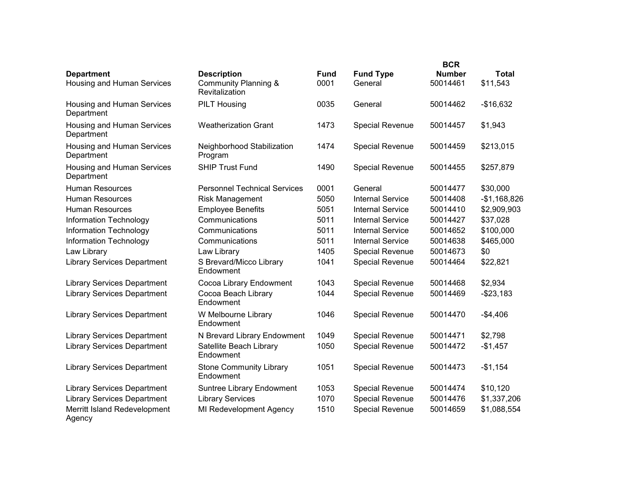|                                                        |                                                                         |                     |                             | <b>BCR</b>                |                          |
|--------------------------------------------------------|-------------------------------------------------------------------------|---------------------|-----------------------------|---------------------------|--------------------------|
| <b>Department</b><br><b>Housing and Human Services</b> | <b>Description</b><br><b>Community Planning &amp;</b><br>Revitalization | <b>Fund</b><br>0001 | <b>Fund Type</b><br>General | <b>Number</b><br>50014461 | <b>Total</b><br>\$11,543 |
| Housing and Human Services<br>Department               | <b>PILT Housing</b>                                                     | 0035                | General                     | 50014462                  | $-$16,632$               |
| Housing and Human Services<br>Department               | <b>Weatherization Grant</b>                                             | 1473                | Special Revenue             | 50014457                  | \$1,943                  |
| Housing and Human Services<br>Department               | Neighborhood Stabilization<br>Program                                   | 1474                | <b>Special Revenue</b>      | 50014459                  | \$213,015                |
| Housing and Human Services<br>Department               | <b>SHIP Trust Fund</b>                                                  | 1490                | Special Revenue             | 50014455                  | \$257,879                |
| <b>Human Resources</b>                                 | <b>Personnel Technical Services</b>                                     | 0001                | General                     | 50014477                  | \$30,000                 |
| <b>Human Resources</b>                                 | <b>Risk Management</b>                                                  | 5050                | <b>Internal Service</b>     | 50014408                  | $-$1,168,826$            |
| <b>Human Resources</b>                                 | <b>Employee Benefits</b>                                                | 5051                | <b>Internal Service</b>     | 50014410                  | \$2,909,903              |
| Information Technology                                 | Communications                                                          | 5011                | <b>Internal Service</b>     | 50014427                  | \$37,028                 |
| Information Technology                                 | Communications                                                          | 5011                | <b>Internal Service</b>     | 50014652                  | \$100,000                |
| Information Technology                                 | Communications                                                          | 5011                | <b>Internal Service</b>     | 50014638                  | \$465,000                |
| Law Library                                            | Law Library                                                             | 1405                | Special Revenue             | 50014673                  | \$0                      |
| <b>Library Services Department</b>                     | S Brevard/Micco Library<br>Endowment                                    | 1041                | <b>Special Revenue</b>      | 50014464                  | \$22,821                 |
| <b>Library Services Department</b>                     | Cocoa Library Endowment                                                 | 1043                | <b>Special Revenue</b>      | 50014468                  | \$2,934                  |
| <b>Library Services Department</b>                     | Cocoa Beach Library<br>Endowment                                        | 1044                | Special Revenue             | 50014469                  | $- $23,183$              |
| <b>Library Services Department</b>                     | W Melbourne Library<br>Endowment                                        | 1046                | <b>Special Revenue</b>      | 50014470                  | $-$4,406$                |
| <b>Library Services Department</b>                     | N Brevard Library Endowment                                             | 1049                | <b>Special Revenue</b>      | 50014471                  | \$2,798                  |
| <b>Library Services Department</b>                     | Satellite Beach Library<br>Endowment                                    | 1050                | <b>Special Revenue</b>      | 50014472                  | $-$1,457$                |
| <b>Library Services Department</b>                     | <b>Stone Community Library</b><br>Endowment                             | 1051                | <b>Special Revenue</b>      | 50014473                  | $-$1,154$                |
| <b>Library Services Department</b>                     | Suntree Library Endowment                                               | 1053                | <b>Special Revenue</b>      | 50014474                  | \$10,120                 |
| <b>Library Services Department</b>                     | <b>Library Services</b>                                                 | 1070                | <b>Special Revenue</b>      | 50014476                  | \$1,337,206              |
| Merritt Island Redevelopment<br>Agency                 | MI Redevelopment Agency                                                 | 1510                | <b>Special Revenue</b>      | 50014659                  | \$1,088,554              |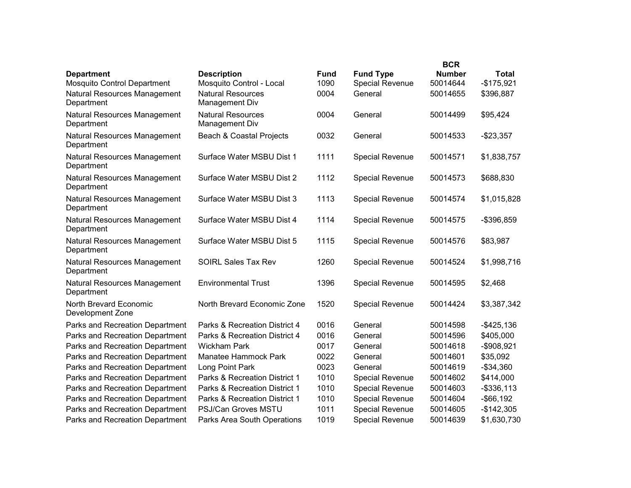|                                                         |                                                |                     |                                            | <b>BCR</b>                |                             |
|---------------------------------------------------------|------------------------------------------------|---------------------|--------------------------------------------|---------------------------|-----------------------------|
| <b>Department</b><br><b>Mosquito Control Department</b> | <b>Description</b><br>Mosquito Control - Local | <b>Fund</b><br>1090 | <b>Fund Type</b><br><b>Special Revenue</b> | <b>Number</b><br>50014644 | <b>Total</b><br>$-$175,921$ |
| Natural Resources Management<br>Department              | <b>Natural Resources</b><br>Management Div     | 0004                | General                                    | 50014655                  | \$396,887                   |
| Natural Resources Management<br>Department              | <b>Natural Resources</b><br>Management Div     | 0004                | General                                    | 50014499                  | \$95,424                    |
| Natural Resources Management<br>Department              | Beach & Coastal Projects                       | 0032                | General                                    | 50014533                  | $-$23,357$                  |
| Natural Resources Management<br>Department              | Surface Water MSBU Dist 1                      | 1111                | <b>Special Revenue</b>                     | 50014571                  | \$1,838,757                 |
| Natural Resources Management<br>Department              | Surface Water MSBU Dist 2                      | 1112                | Special Revenue                            | 50014573                  | \$688,830                   |
| Natural Resources Management<br>Department              | Surface Water MSBU Dist 3                      | 1113                | <b>Special Revenue</b>                     | 50014574                  | \$1,015,828                 |
| Natural Resources Management<br>Department              | Surface Water MSBU Dist 4                      | 1114                | <b>Special Revenue</b>                     | 50014575                  | -\$396,859                  |
| Natural Resources Management<br>Department              | Surface Water MSBU Dist 5                      | 1115                | <b>Special Revenue</b>                     | 50014576                  | \$83,987                    |
| Natural Resources Management<br>Department              | <b>SOIRL Sales Tax Rev</b>                     | 1260                | <b>Special Revenue</b>                     | 50014524                  | \$1,998,716                 |
| <b>Natural Resources Management</b><br>Department       | <b>Environmental Trust</b>                     | 1396                | <b>Special Revenue</b>                     | 50014595                  | \$2,468                     |
| North Brevard Economic<br>Development Zone              | North Brevard Economic Zone                    | 1520                | Special Revenue                            | 50014424                  | \$3,387,342                 |
| Parks and Recreation Department                         | Parks & Recreation District 4                  | 0016                | General                                    | 50014598                  | $-$425,136$                 |
| Parks and Recreation Department                         | Parks & Recreation District 4                  | 0016                | General                                    | 50014596                  | \$405,000                   |
| Parks and Recreation Department                         | <b>Wickham Park</b>                            | 0017                | General                                    | 50014618                  | -\$908,921                  |
| Parks and Recreation Department                         | Manatee Hammock Park                           | 0022                | General                                    | 50014601                  | \$35,092                    |
| Parks and Recreation Department                         | Long Point Park                                | 0023                | General                                    | 50014619                  | $- $34,360$                 |
| Parks and Recreation Department                         | Parks & Recreation District 1                  | 1010                | Special Revenue                            | 50014602                  | \$414,000                   |
| Parks and Recreation Department                         | Parks & Recreation District 1                  | 1010                | <b>Special Revenue</b>                     | 50014603                  | $-$ \$336,113               |
| Parks and Recreation Department                         | Parks & Recreation District 1                  | 1010                | <b>Special Revenue</b>                     | 50014604                  | $-$ \$66,192                |
| Parks and Recreation Department                         | PSJ/Can Groves MSTU                            | 1011                | <b>Special Revenue</b>                     | 50014605                  | $-$142,305$                 |
| <b>Parks and Recreation Department</b>                  | <b>Parks Area South Operations</b>             | 1019                | <b>Special Revenue</b>                     | 50014639                  | \$1,630,730                 |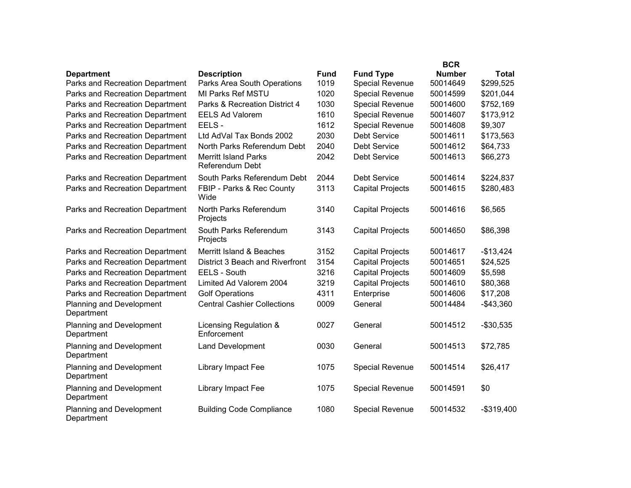|                                                      |                                                   |              |                                            | <b>BCR</b>                |                    |
|------------------------------------------------------|---------------------------------------------------|--------------|--------------------------------------------|---------------------------|--------------------|
| <b>Department</b><br>Parks and Recreation Department | <b>Description</b><br>Parks Area South Operations | Fund<br>1019 | <b>Fund Type</b><br><b>Special Revenue</b> | <b>Number</b><br>50014649 | Total<br>\$299,525 |
| Parks and Recreation Department                      | MI Parks Ref MSTU                                 | 1020         | Special Revenue                            | 50014599                  | \$201,044          |
| Parks and Recreation Department                      | Parks & Recreation District 4                     | 1030         | <b>Special Revenue</b>                     | 50014600                  | \$752,169          |
| Parks and Recreation Department                      | <b>EELS Ad Valorem</b>                            | 1610         | Special Revenue                            | 50014607                  | \$173,912          |
| Parks and Recreation Department                      | EELS-                                             | 1612         | <b>Special Revenue</b>                     | 50014608                  | \$9,307            |
| Parks and Recreation Department                      | Ltd AdVal Tax Bonds 2002                          | 2030         | <b>Debt Service</b>                        | 50014611                  | \$173,563          |
| Parks and Recreation Department                      | North Parks Referendum Debt                       | 2040         | <b>Debt Service</b>                        | 50014612                  | \$64,733           |
| Parks and Recreation Department                      | <b>Merritt Island Parks</b><br>Referendum Debt    | 2042         | <b>Debt Service</b>                        | 50014613                  | \$66,273           |
| Parks and Recreation Department                      | South Parks Referendum Debt                       | 2044         | <b>Debt Service</b>                        | 50014614                  | \$224,837          |
| Parks and Recreation Department                      | FBIP - Parks & Rec County<br>Wide                 | 3113         | <b>Capital Projects</b>                    | 50014615                  | \$280,483          |
| Parks and Recreation Department                      | North Parks Referendum<br>Projects                | 3140         | <b>Capital Projects</b>                    | 50014616                  | \$6,565            |
| Parks and Recreation Department                      | South Parks Referendum<br>Projects                | 3143         | <b>Capital Projects</b>                    | 50014650                  | \$86,398           |
| Parks and Recreation Department                      | Merritt Island & Beaches                          | 3152         | <b>Capital Projects</b>                    | 50014617                  | $-$13,424$         |
| Parks and Recreation Department                      | District 3 Beach and Riverfront                   | 3154         | <b>Capital Projects</b>                    | 50014651                  | \$24,525           |
| Parks and Recreation Department                      | EELS - South                                      | 3216         | <b>Capital Projects</b>                    | 50014609                  | \$5,598            |
| Parks and Recreation Department                      | Limited Ad Valorem 2004                           | 3219         | <b>Capital Projects</b>                    | 50014610                  | \$80,368           |
| Parks and Recreation Department                      | <b>Golf Operations</b>                            | 4311         | Enterprise                                 | 50014606                  | \$17,208           |
| <b>Planning and Development</b><br>Department        | <b>Central Cashier Collections</b>                | 0009         | General                                    | 50014484                  | $-$43,360$         |
| <b>Planning and Development</b><br>Department        | Licensing Regulation &<br>Enforcement             | 0027         | General                                    | 50014512                  | $-$30,535$         |
| <b>Planning and Development</b><br>Department        | <b>Land Development</b>                           | 0030         | General                                    | 50014513                  | \$72,785           |
| <b>Planning and Development</b><br>Department        | Library Impact Fee                                | 1075         | Special Revenue                            | 50014514                  | \$26,417           |
| <b>Planning and Development</b><br>Department        | Library Impact Fee                                | 1075         | Special Revenue                            | 50014591                  | \$0                |
| <b>Planning and Development</b><br>Department        | <b>Building Code Compliance</b>                   | 1080         | <b>Special Revenue</b>                     | 50014532                  | $-$319,400$        |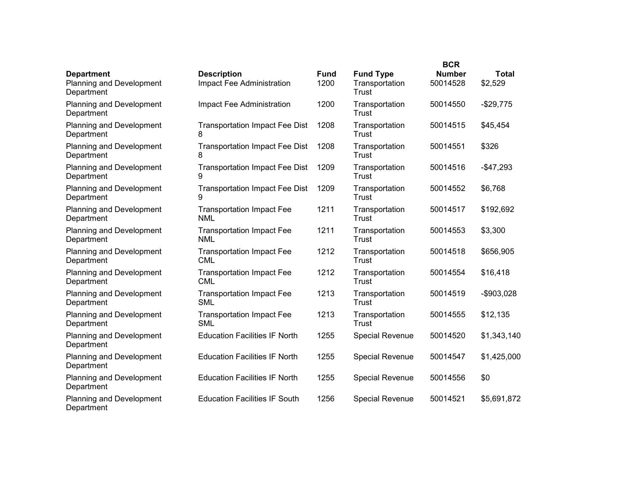|                                                             |                                                 |                     |                                             | <b>BCR</b>                |                         |
|-------------------------------------------------------------|-------------------------------------------------|---------------------|---------------------------------------------|---------------------------|-------------------------|
| <b>Department</b><br>Planning and Development<br>Department | <b>Description</b><br>Impact Fee Administration | <b>Fund</b><br>1200 | <b>Fund Type</b><br>Transportation<br>Trust | <b>Number</b><br>50014528 | <b>Total</b><br>\$2,529 |
| <b>Planning and Development</b><br>Department               | Impact Fee Administration                       | 1200                | Transportation<br>Trust                     | 50014550                  | $-$29,775$              |
| <b>Planning and Development</b><br>Department               | <b>Transportation Impact Fee Dist</b><br>8      | 1208                | Transportation<br>Trust                     | 50014515                  | \$45,454                |
| <b>Planning and Development</b><br>Department               | <b>Transportation Impact Fee Dist</b><br>8      | 1208                | Transportation<br>Trust                     | 50014551                  | \$326                   |
| <b>Planning and Development</b><br>Department               | <b>Transportation Impact Fee Dist</b><br>9      | 1209                | Transportation<br>Trust                     | 50014516                  | $-$47,293$              |
| Planning and Development<br>Department                      | <b>Transportation Impact Fee Dist</b><br>9      | 1209                | Transportation<br>Trust                     | 50014552                  | \$6,768                 |
| Planning and Development<br>Department                      | <b>Transportation Impact Fee</b><br><b>NML</b>  | 1211                | Transportation<br>Trust                     | 50014517                  | \$192,692               |
| <b>Planning and Development</b><br>Department               | <b>Transportation Impact Fee</b><br><b>NML</b>  | 1211                | Transportation<br>Trust                     | 50014553                  | \$3,300                 |
| Planning and Development<br>Department                      | <b>Transportation Impact Fee</b><br><b>CML</b>  | 1212                | Transportation<br>Trust                     | 50014518                  | \$656,905               |
| Planning and Development<br>Department                      | <b>Transportation Impact Fee</b><br><b>CML</b>  | 1212                | Transportation<br>Trust                     | 50014554                  | \$16,418                |
| Planning and Development<br>Department                      | <b>Transportation Impact Fee</b><br><b>SML</b>  | 1213                | Transportation<br>Trust                     | 50014519                  | $-$903,028$             |
| Planning and Development<br>Department                      | <b>Transportation Impact Fee</b><br><b>SML</b>  | 1213                | Transportation<br>Trust                     | 50014555                  | \$12,135                |
| <b>Planning and Development</b><br>Department               | <b>Education Facilities IF North</b>            | 1255                | Special Revenue                             | 50014520                  | \$1,343,140             |
| Planning and Development<br>Department                      | <b>Education Facilities IF North</b>            | 1255                | <b>Special Revenue</b>                      | 50014547                  | \$1,425,000             |
| <b>Planning and Development</b><br>Department               | <b>Education Facilities IF North</b>            | 1255                | <b>Special Revenue</b>                      | 50014556                  | \$0                     |
| <b>Planning and Development</b><br>Department               | <b>Education Facilities IF South</b>            | 1256                | <b>Special Revenue</b>                      | 50014521                  | \$5,691,872             |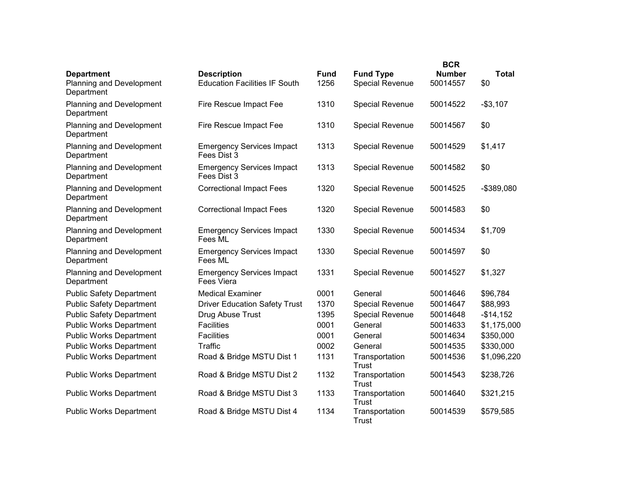| <b>Department</b>                             | <b>Description</b>                              | <b>Fund</b> | <b>Fund Type</b>        | <b>BCR</b><br><b>Number</b> | <b>Total</b> |
|-----------------------------------------------|-------------------------------------------------|-------------|-------------------------|-----------------------------|--------------|
| <b>Planning and Development</b><br>Department | <b>Education Facilities IF South</b>            | 1256        | <b>Special Revenue</b>  | 50014557                    | \$0          |
| <b>Planning and Development</b><br>Department | Fire Rescue Impact Fee                          | 1310        | <b>Special Revenue</b>  | 50014522                    | $-$3,107$    |
| <b>Planning and Development</b><br>Department | Fire Rescue Impact Fee                          | 1310        | <b>Special Revenue</b>  | 50014567                    | \$0          |
| <b>Planning and Development</b><br>Department | <b>Emergency Services Impact</b><br>Fees Dist 3 | 1313        | <b>Special Revenue</b>  | 50014529                    | \$1,417      |
| <b>Planning and Development</b><br>Department | <b>Emergency Services Impact</b><br>Fees Dist 3 | 1313        | <b>Special Revenue</b>  | 50014582                    | \$0          |
| <b>Planning and Development</b><br>Department | <b>Correctional Impact Fees</b>                 | 1320        | <b>Special Revenue</b>  | 50014525                    | -\$389,080   |
| Planning and Development<br>Department        | <b>Correctional Impact Fees</b>                 | 1320        | Special Revenue         | 50014583                    | \$0          |
| <b>Planning and Development</b><br>Department | <b>Emergency Services Impact</b><br>Fees ML     | 1330        | Special Revenue         | 50014534                    | \$1,709      |
| <b>Planning and Development</b><br>Department | <b>Emergency Services Impact</b><br>Fees ML     | 1330        | <b>Special Revenue</b>  | 50014597                    | \$0          |
| <b>Planning and Development</b><br>Department | <b>Emergency Services Impact</b><br>Fees Viera  | 1331        | Special Revenue         | 50014527                    | \$1,327      |
| <b>Public Safety Department</b>               | <b>Medical Examiner</b>                         | 0001        | General                 | 50014646                    | \$96,784     |
| <b>Public Safety Department</b>               | <b>Driver Education Safety Trust</b>            | 1370        | <b>Special Revenue</b>  | 50014647                    | \$88,993     |
| <b>Public Safety Department</b>               | Drug Abuse Trust                                | 1395        | Special Revenue         | 50014648                    | $-$14,152$   |
| <b>Public Works Department</b>                | Facilities                                      | 0001        | General                 | 50014633                    | \$1,175,000  |
| <b>Public Works Department</b>                | <b>Facilities</b>                               | 0001        | General                 | 50014634                    | \$350,000    |
| <b>Public Works Department</b>                | Traffic                                         | 0002        | General                 | 50014535                    | \$330,000    |
| <b>Public Works Department</b>                | Road & Bridge MSTU Dist 1                       | 1131        | Transportation<br>Trust | 50014536                    | \$1,096,220  |
| <b>Public Works Department</b>                | Road & Bridge MSTU Dist 2                       | 1132        | Transportation<br>Trust | 50014543                    | \$238,726    |
| <b>Public Works Department</b>                | Road & Bridge MSTU Dist 3                       | 1133        | Transportation<br>Trust | 50014640                    | \$321,215    |
| <b>Public Works Department</b>                | Road & Bridge MSTU Dist 4                       | 1134        | Transportation<br>Trust | 50014539                    | \$579,585    |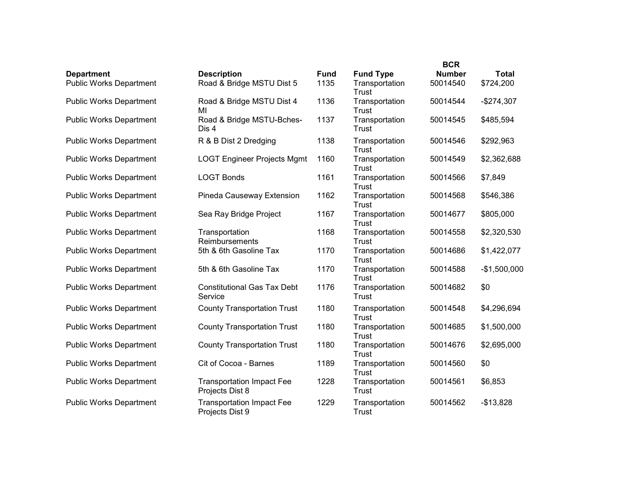|                                |                                                     |             |                                | <b>BCR</b>    |               |
|--------------------------------|-----------------------------------------------------|-------------|--------------------------------|---------------|---------------|
| <b>Department</b>              | <b>Description</b>                                  | <b>Fund</b> | <b>Fund Type</b>               | <b>Number</b> | <b>Total</b>  |
| <b>Public Works Department</b> | Road & Bridge MSTU Dist 5                           | 1135        | Transportation<br>Trust        | 50014540      | \$724,200     |
| <b>Public Works Department</b> | Road & Bridge MSTU Dist 4<br>MI                     | 1136        | Transportation<br>Trust        | 50014544      | $-$274,307$   |
| <b>Public Works Department</b> | Road & Bridge MSTU-Bches-<br>Dis 4                  | 1137        | Transportation<br>Trust        | 50014545      | \$485,594     |
| <b>Public Works Department</b> | R & B Dist 2 Dredging                               | 1138        | Transportation<br>Trust        | 50014546      | \$292,963     |
| <b>Public Works Department</b> | <b>LOGT Engineer Projects Mgmt</b>                  | 1160        | Transportation<br>Trust        | 50014549      | \$2,362,688   |
| <b>Public Works Department</b> | <b>LOGT Bonds</b>                                   | 1161        | Transportation<br>Trust        | 50014566      | \$7,849       |
| <b>Public Works Department</b> | Pineda Causeway Extension                           | 1162        | Transportation<br>Trust        | 50014568      | \$546,386     |
| <b>Public Works Department</b> | Sea Ray Bridge Project                              | 1167        | Transportation<br>Trust        | 50014677      | \$805,000     |
| <b>Public Works Department</b> | Transportation<br>Reimbursements                    | 1168        | Transportation<br>Trust        | 50014558      | \$2,320,530   |
| <b>Public Works Department</b> | 5th & 6th Gasoline Tax                              | 1170        | Transportation<br>Trust        | 50014686      | \$1,422,077   |
| <b>Public Works Department</b> | 5th & 6th Gasoline Tax                              | 1170        | Transportation<br>Trust        | 50014588      | $-$1,500,000$ |
| <b>Public Works Department</b> | <b>Constitutional Gas Tax Debt</b><br>Service       | 1176        | Transportation<br>Trust        | 50014682      | \$0           |
| <b>Public Works Department</b> | <b>County Transportation Trust</b>                  | 1180        | Transportation<br>Trust        | 50014548      | \$4,296,694   |
| <b>Public Works Department</b> | <b>County Transportation Trust</b>                  | 1180        | Transportation<br><b>Trust</b> | 50014685      | \$1,500,000   |
| <b>Public Works Department</b> | <b>County Transportation Trust</b>                  | 1180        | Transportation<br>Trust        | 50014676      | \$2,695,000   |
| <b>Public Works Department</b> | Cit of Cocoa - Barnes                               | 1189        | Transportation<br>Trust        | 50014560      | \$0           |
| <b>Public Works Department</b> | <b>Transportation Impact Fee</b><br>Projects Dist 8 | 1228        | Transportation<br>Trust        | 50014561      | \$6,853       |
| <b>Public Works Department</b> | <b>Transportation Impact Fee</b><br>Projects Dist 9 | 1229        | Transportation<br>Trust        | 50014562      | $-$13,828$    |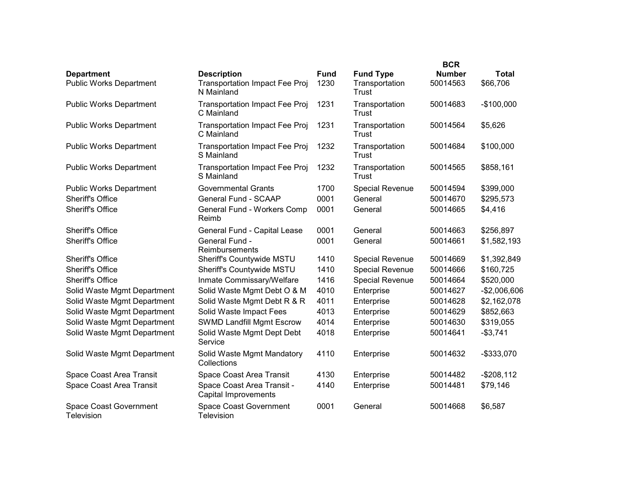|                                                     |                                                                           |                     | <b>BCR</b>                                         |                           |                          |  |
|-----------------------------------------------------|---------------------------------------------------------------------------|---------------------|----------------------------------------------------|---------------------------|--------------------------|--|
| <b>Department</b><br><b>Public Works Department</b> | <b>Description</b><br><b>Transportation Impact Fee Proj</b><br>N Mainland | <b>Fund</b><br>1230 | <b>Fund Type</b><br>Transportation<br><b>Trust</b> | <b>Number</b><br>50014563 | <b>Total</b><br>\$66,706 |  |
| <b>Public Works Department</b>                      | Transportation Impact Fee Proj<br>C Mainland                              | 1231                | Transportation<br>Trust                            | 50014683                  | $-$100,000$              |  |
| <b>Public Works Department</b>                      | <b>Transportation Impact Fee Proj</b><br>C Mainland                       | 1231                | Transportation<br>Trust                            | 50014564                  | \$5,626                  |  |
| <b>Public Works Department</b>                      | <b>Transportation Impact Fee Proj</b><br>S Mainland                       | 1232                | Transportation<br>Trust                            | 50014684                  | \$100,000                |  |
| <b>Public Works Department</b>                      | <b>Transportation Impact Fee Proj</b><br>S Mainland                       | 1232                | Transportation<br>Trust                            | 50014565                  | \$858,161                |  |
| <b>Public Works Department</b>                      | <b>Governmental Grants</b>                                                | 1700                | <b>Special Revenue</b>                             | 50014594                  | \$399,000                |  |
| <b>Sheriff's Office</b>                             | <b>General Fund - SCAAP</b>                                               | 0001                | General                                            | 50014670                  | \$295,573                |  |
| <b>Sheriff's Office</b>                             | General Fund - Workers Comp<br>Reimb                                      | 0001                | General                                            | 50014665                  | \$4,416                  |  |
| <b>Sheriff's Office</b>                             | General Fund - Capital Lease                                              | 0001                | General                                            | 50014663                  | \$256,897                |  |
| <b>Sheriff's Office</b>                             | General Fund -<br>Reimbursements                                          | 0001                | General                                            | 50014661                  | \$1,582,193              |  |
| <b>Sheriff's Office</b>                             | Sheriff's Countywide MSTU                                                 | 1410                | Special Revenue                                    | 50014669                  | \$1,392,849              |  |
| <b>Sheriff's Office</b>                             | Sheriff's Countywide MSTU                                                 | 1410                | Special Revenue                                    | 50014666                  | \$160,725                |  |
| <b>Sheriff's Office</b>                             | Inmate Commissary/Welfare                                                 | 1416                | <b>Special Revenue</b>                             | 50014664                  | \$520,000                |  |
| Solid Waste Mgmt Department                         | Solid Waste Mgmt Debt O & M                                               | 4010                | Enterprise                                         | 50014627                  | $-$2,006,606$            |  |
| Solid Waste Mgmt Department                         | Solid Waste Mgmt Debt R & R                                               | 4011                | Enterprise                                         | 50014628                  | \$2,162,078              |  |
| Solid Waste Mgmt Department                         | Solid Waste Impact Fees                                                   | 4013                | Enterprise                                         | 50014629                  | \$852,663                |  |
| Solid Waste Mgmt Department                         | <b>SWMD Landfill Mgmt Escrow</b>                                          | 4014                | Enterprise                                         | 50014630                  | \$319,055                |  |
| Solid Waste Mgmt Department                         | Solid Waste Mgmt Dept Debt<br>Service                                     | 4018                | Enterprise                                         | 50014641                  | $-$3,741$                |  |
| Solid Waste Mgmt Department                         | Solid Waste Mgmt Mandatory<br>Collections                                 | 4110                | Enterprise                                         | 50014632                  | -\$333,070               |  |
| Space Coast Area Transit                            | Space Coast Area Transit                                                  | 4130                | Enterprise                                         | 50014482                  | $-$208,112$              |  |
| Space Coast Area Transit                            | Space Coast Area Transit -<br><b>Capital Improvements</b>                 | 4140                | Enterprise                                         | 50014481                  | \$79,146                 |  |
| <b>Space Coast Government</b><br>Television         | <b>Space Coast Government</b><br>Television                               | 0001                | General                                            | 50014668                  | \$6,587                  |  |